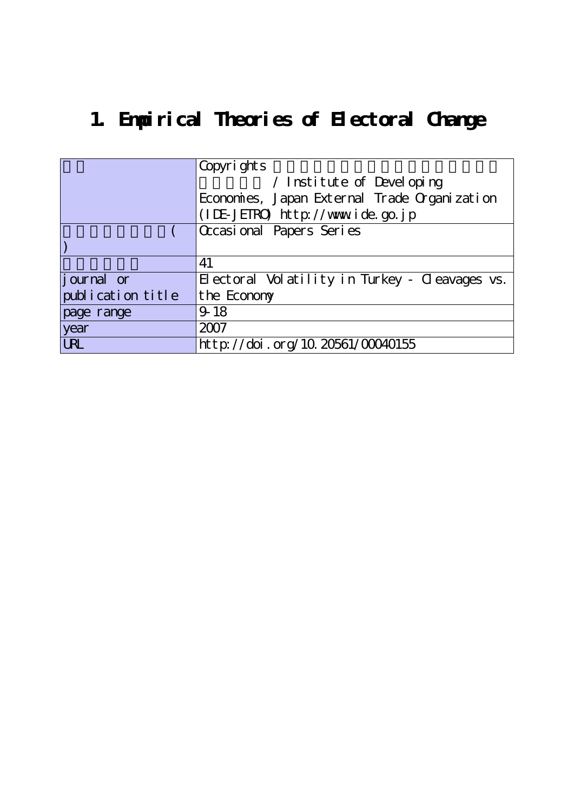# **1. Empirical Theories of Electoral Change**

|                   | Copyrights                                     |  |  |  |
|-------------------|------------------------------------------------|--|--|--|
|                   | / Institute of Developing                      |  |  |  |
|                   | Economies, Japan External Trade Organization   |  |  |  |
|                   | (IDE-JETRO) http://www.ide.go.jp               |  |  |  |
|                   | Occasional Papers Series                       |  |  |  |
|                   |                                                |  |  |  |
|                   | 41                                             |  |  |  |
| journal or        | Electoral Volatility in Turkey - Cleavages vs. |  |  |  |
| publication title | the Economy                                    |  |  |  |
| page range        | $9 - 18$                                       |  |  |  |
| year              | 2007                                           |  |  |  |
| <b>URL</b>        | http://doi.org/10.20561/00040155               |  |  |  |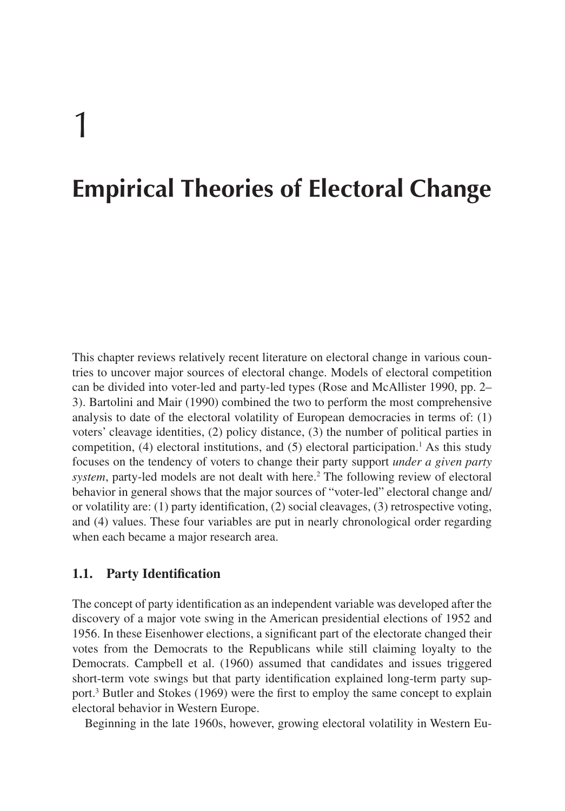# 1

## **Empirical Theories of Electoral Change**

This chapter reviews relatively recent literature on electoral change in various countries to uncover major sources of electoral change. Models of electoral competition can be divided into voter-led and party-led types (Rose and McAllister 1990, pp. 2– 3). Bartolini and Mair (1990) combined the two to perform the most comprehensive analysis to date of the electoral volatility of European democracies in terms of: (1) voters' cleavage identities, (2) policy distance, (3) the number of political parties in competition,  $(4)$  electoral institutions, and  $(5)$  electoral participation.<sup>1</sup> As this study focuses on the tendency of voters to change their party support *under a given party system*, party-led models are not dealt with here.<sup>2</sup> The following review of electoral behavior in general shows that the major sources of "voter-led" electoral change and/ or volatility are: (1) party identification, (2) social cleavages, (3) retrospective voting, and (4) values. These four variables are put in nearly chronological order regarding when each became a major research area.

### **1.1. Party Identification**

The concept of party identification as an independent variable was developed after the discovery of a major vote swing in the American presidential elections of 1952 and 1956. In these Eisenhower elections, a significant part of the electorate changed their votes from the Democrats to the Republicans while still claiming loyalty to the Democrats. Campbell et al. (1960) assumed that candidates and issues triggered short-term vote swings but that party identification explained long-term party support.3 Butler and Stokes (1969) were the first to employ the same concept to explain electoral behavior in Western Europe.

Beginning in the late 1960s, however, growing electoral volatility in Western Eu-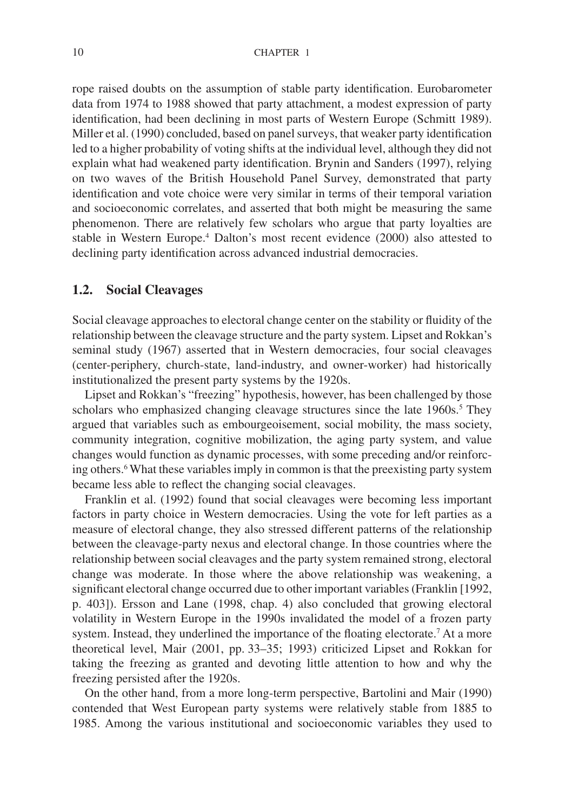rope raised doubts on the assumption of stable party identification. Eurobarometer data from 1974 to 1988 showed that party attachment, a modest expression of party identification, had been declining in most parts of Western Europe (Schmitt 1989). Miller et al. (1990) concluded, based on panel surveys, that weaker party identification led to a higher probability of voting shifts at the individual level, although they did not explain what had weakened party identification. Brynin and Sanders (1997), relying on two waves of the British Household Panel Survey, demonstrated that party identification and vote choice were very similar in terms of their temporal variation and socioeconomic correlates, and asserted that both might be measuring the same phenomenon. There are relatively few scholars who argue that party loyalties are stable in Western Europe.4 Dalton's most recent evidence (2000) also attested to declining party identification across advanced industrial democracies.

#### **1.2. Social Cleavages**

Social cleavage approaches to electoral change center on the stability or fluidity of the relationship between the cleavage structure and the party system. Lipset and Rokkan's seminal study (1967) asserted that in Western democracies, four social cleavages (center-periphery, church-state, land-industry, and owner-worker) had historically institutionalized the present party systems by the 1920s.

Lipset and Rokkan's "freezing" hypothesis, however, has been challenged by those scholars who emphasized changing cleavage structures since the late 1960s.<sup>5</sup> They argued that variables such as embourgeoisement, social mobility, the mass society, community integration, cognitive mobilization, the aging party system, and value changes would function as dynamic processes, with some preceding and/or reinforcing others.6What these variables imply in common is that the preexisting party system became less able to reflect the changing social cleavages.

Franklin et al. (1992) found that social cleavages were becoming less important factors in party choice in Western democracies. Using the vote for left parties as a measure of electoral change, they also stressed different patterns of the relationship between the cleavage-party nexus and electoral change. In those countries where the relationship between social cleavages and the party system remained strong, electoral change was moderate. In those where the above relationship was weakening, a significant electoral change occurred due to other important variables (Franklin [1992, p. 403]). Ersson and Lane (1998, chap. 4) also concluded that growing electoral volatility in Western Europe in the 1990s invalidated the model of a frozen party system. Instead, they underlined the importance of the floating electorate.<sup>7</sup> At a more theoretical level, Mair (2001, pp. 33–35; 1993) criticized Lipset and Rokkan for taking the freezing as granted and devoting little attention to how and why the freezing persisted after the 1920s.

On the other hand, from a more long-term perspective, Bartolini and Mair (1990) contended that West European party systems were relatively stable from 1885 to 1985. Among the various institutional and socioeconomic variables they used to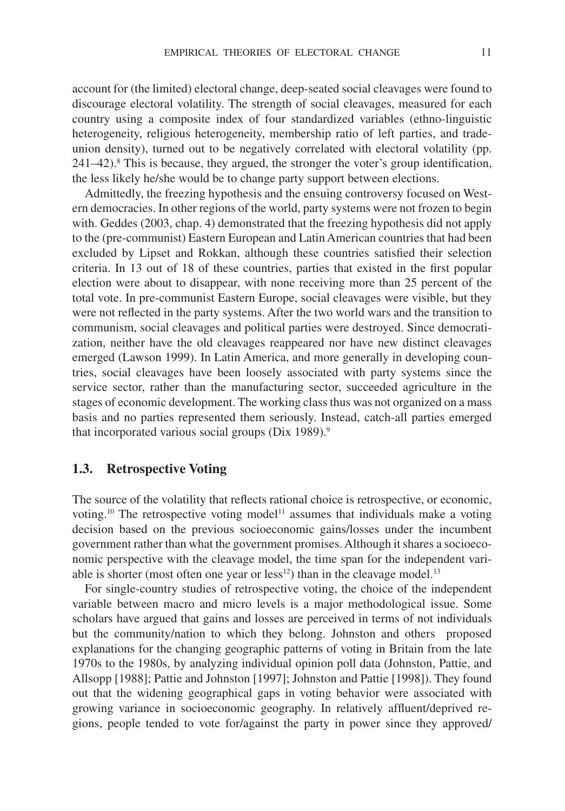account for (the limited) electoral change, deep-seated social cleavages were found to discourage electoral volatility. The strength of social cleavages, measured for each country using a composite index of four standardized variables (ethno-linguistic heterogeneity, religious heterogeneity, membership ratio of left parties, and tradeunion density), turned out to be negatively correlated with electoral volatility (pp.  $241-42$ .<sup>8</sup> This is because, they argued, the stronger the voter's group identification, the less likely he/she would be to change party support between elections.

Admittedly, the freezing hypothesis and the ensuing controversy focused on Western democracies. In other regions of the world, party systems were not frozen to begin with. Geddes (2003, chap. 4) demonstrated that the freezing hypothesis did not apply to the (pre-communist) Eastern European and Latin American countries that had been excluded by Lipset and Rokkan, although these countries satisfied their selection criteria. In 13 out of 18 of these countries, parties that existed in the first popular election were about to disappear, with none receiving more than 25 percent of the total vote. In pre-communist Eastern Europe, social cleavages were visible, but they were not reflected in the party systems. After the two world wars and the transition to communism, social cleavages and political parties were destroyed. Since democratization, neither have the old cleavages reappeared nor have new distinct cleavages emerged (Lawson 1999). In Latin America, and more generally in developing countries, social cleavages have been loosely associated with party systems since the service sector, rather than the manufacturing sector, succeeded agriculture in the stages of economic development. The working class thus was not organized on a mass basis and no parties represented them seriously. Instead, catch-all parties emerged that incorporated various social groups (Dix 1989).<sup>9</sup>

#### **1.3. Retrospective Voting**

The source of the volatility that reflects rational choice is retrospective, or economic, voting.<sup>10</sup> The retrospective voting model<sup>11</sup> assumes that individuals make a voting decision based on the previous socioeconomic gains/losses under the incumbent government rather than what the government promises. Although it shares a socioeconomic perspective with the cleavage model, the time span for the independent variable is shorter (most often one year or less $^{12}$ ) than in the cleavage model.<sup>13</sup>

For single-country studies of retrospective voting, the choice of the independent variable between macro and micro levels is a major methodological issue. Some scholars have argued that gains and losses are perceived in terms of not individuals but the community/nation to which they belong. Johnston and others proposed explanations for the changing geographic patterns of voting in Britain from the late 1970s to the 1980s, by analyzing individual opinion poll data (Johnston, Pattie, and Allsopp [1988]; Pattie and Johnston [1997]; Johnston and Pattie [1998]). They found out that the widening geographical gaps in voting behavior were associated with growing variance in socioeconomic geography. In relatively affluent/deprived regions, people tended to vote for/against the party in power since they approved/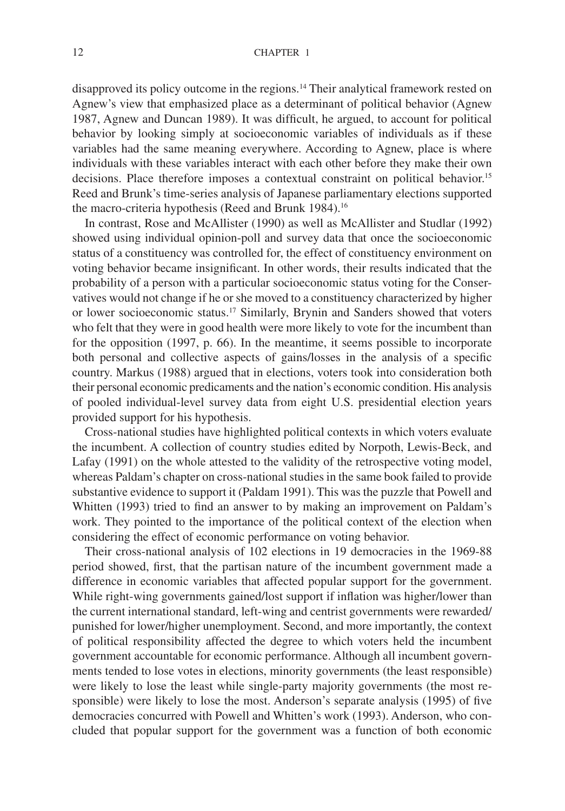disapproved its policy outcome in the regions.14 Their analytical framework rested on Agnew's view that emphasized place as a determinant of political behavior (Agnew 1987, Agnew and Duncan 1989). It was difficult, he argued, to account for political behavior by looking simply at socioeconomic variables of individuals as if these variables had the same meaning everywhere. According to Agnew, place is where individuals with these variables interact with each other before they make their own decisions. Place therefore imposes a contextual constraint on political behavior.<sup>15</sup> Reed and Brunk's time-series analysis of Japanese parliamentary elections supported the macro-criteria hypothesis (Reed and Brunk 1984).<sup>16</sup>

In contrast, Rose and McAllister (1990) as well as McAllister and Studlar (1992) showed using individual opinion-poll and survey data that once the socioeconomic status of a constituency was controlled for, the effect of constituency environment on voting behavior became insignificant. In other words, their results indicated that the probability of a person with a particular socioeconomic status voting for the Conservatives would not change if he or she moved to a constituency characterized by higher or lower socioeconomic status.17 Similarly, Brynin and Sanders showed that voters who felt that they were in good health were more likely to vote for the incumbent than for the opposition (1997, p. 66). In the meantime, it seems possible to incorporate both personal and collective aspects of gains/losses in the analysis of a specific country. Markus (1988) argued that in elections, voters took into consideration both their personal economic predicaments and the nation's economic condition. His analysis of pooled individual-level survey data from eight U.S. presidential election years provided support for his hypothesis.

Cross-national studies have highlighted political contexts in which voters evaluate the incumbent. A collection of country studies edited by Norpoth, Lewis-Beck, and Lafay (1991) on the whole attested to the validity of the retrospective voting model, whereas Paldam's chapter on cross-national studies in the same book failed to provide substantive evidence to support it (Paldam 1991). This was the puzzle that Powell and Whitten (1993) tried to find an answer to by making an improvement on Paldam's work. They pointed to the importance of the political context of the election when considering the effect of economic performance on voting behavior.

Their cross-national analysis of 102 elections in 19 democracies in the 1969-88 period showed, first, that the partisan nature of the incumbent government made a difference in economic variables that affected popular support for the government. While right-wing governments gained/lost support if inflation was higher/lower than the current international standard, left-wing and centrist governments were rewarded/ punished for lower/higher unemployment. Second, and more importantly, the context of political responsibility affected the degree to which voters held the incumbent government accountable for economic performance. Although all incumbent governments tended to lose votes in elections, minority governments (the least responsible) were likely to lose the least while single-party majority governments (the most responsible) were likely to lose the most. Anderson's separate analysis (1995) of five democracies concurred with Powell and Whitten's work (1993). Anderson, who concluded that popular support for the government was a function of both economic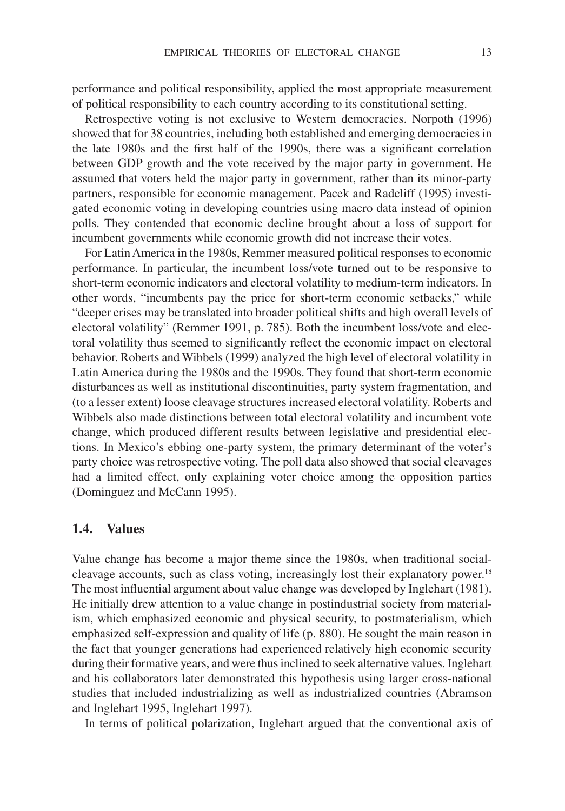performance and political responsibility, applied the most appropriate measurement of political responsibility to each country according to its constitutional setting.

Retrospective voting is not exclusive to Western democracies. Norpoth (1996) showed that for 38 countries, including both established and emerging democracies in the late 1980s and the first half of the 1990s, there was a significant correlation between GDP growth and the vote received by the major party in government. He assumed that voters held the major party in government, rather than its minor-party partners, responsible for economic management. Pacek and Radcliff (1995) investigated economic voting in developing countries using macro data instead of opinion polls. They contended that economic decline brought about a loss of support for incumbent governments while economic growth did not increase their votes.

For Latin America in the 1980s, Remmer measured political responses to economic performance. In particular, the incumbent loss/vote turned out to be responsive to short-term economic indicators and electoral volatility to medium-term indicators. In other words, "incumbents pay the price for short-term economic setbacks," while "deeper crises may be translated into broader political shifts and high overall levels of electoral volatility" (Remmer 1991, p. 785). Both the incumbent loss/vote and electoral volatility thus seemed to significantly reflect the economic impact on electoral behavior. Roberts and Wibbels (1999) analyzed the high level of electoral volatility in Latin America during the 1980s and the 1990s. They found that short-term economic disturbances as well as institutional discontinuities, party system fragmentation, and (to a lesser extent) loose cleavage structures increased electoral volatility. Roberts and Wibbels also made distinctions between total electoral volatility and incumbent vote change, which produced different results between legislative and presidential elections. In Mexico's ebbing one-party system, the primary determinant of the voter's party choice was retrospective voting. The poll data also showed that social cleavages had a limited effect, only explaining voter choice among the opposition parties (Dominguez and McCann 1995).

#### **1.4. Values**

Value change has become a major theme since the 1980s, when traditional socialcleavage accounts, such as class voting, increasingly lost their explanatory power.<sup>18</sup> The most influential argument about value change was developed by Inglehart (1981). He initially drew attention to a value change in postindustrial society from materialism, which emphasized economic and physical security, to postmaterialism, which emphasized self-expression and quality of life (p. 880). He sought the main reason in the fact that younger generations had experienced relatively high economic security during their formative years, and were thus inclined to seek alternative values. Inglehart and his collaborators later demonstrated this hypothesis using larger cross-national studies that included industrializing as well as industrialized countries (Abramson and Inglehart 1995, Inglehart 1997).

In terms of political polarization, Inglehart argued that the conventional axis of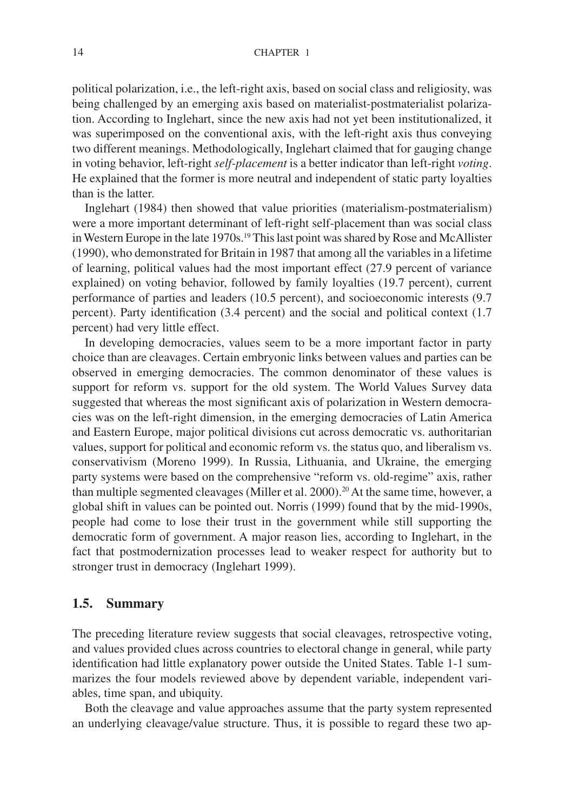political polarization, i.e., the left-right axis, based on social class and religiosity, was being challenged by an emerging axis based on materialist-postmaterialist polarization. According to Inglehart, since the new axis had not yet been institutionalized, it was superimposed on the conventional axis, with the left-right axis thus conveying two different meanings. Methodologically, Inglehart claimed that for gauging change in voting behavior, left-right *self-placement* is a better indicator than left-right *voting*. He explained that the former is more neutral and independent of static party loyalties than is the latter.

Inglehart (1984) then showed that value priorities (materialism-postmaterialism) were a more important determinant of left-right self-placement than was social class in Western Europe in the late 1970s.19 This last point was shared by Rose and McAllister (1990), who demonstrated for Britain in 1987 that among all the variables in a lifetime of learning, political values had the most important effect (27.9 percent of variance explained) on voting behavior, followed by family loyalties (19.7 percent), current performance of parties and leaders (10.5 percent), and socioeconomic interests (9.7 percent). Party identification (3.4 percent) and the social and political context (1.7 percent) had very little effect.

In developing democracies, values seem to be a more important factor in party choice than are cleavages. Certain embryonic links between values and parties can be observed in emerging democracies. The common denominator of these values is support for reform vs. support for the old system. The World Values Survey data suggested that whereas the most significant axis of polarization in Western democracies was on the left-right dimension, in the emerging democracies of Latin America and Eastern Europe, major political divisions cut across democratic vs. authoritarian values, support for political and economic reform vs. the status quo, and liberalism vs. conservativism (Moreno 1999). In Russia, Lithuania, and Ukraine, the emerging party systems were based on the comprehensive "reform vs. old-regime" axis, rather than multiple segmented cleavages (Miller et al. 2000).<sup>20</sup> At the same time, however, a global shift in values can be pointed out. Norris (1999) found that by the mid-1990s, people had come to lose their trust in the government while still supporting the democratic form of government. A major reason lies, according to Inglehart, in the fact that postmodernization processes lead to weaker respect for authority but to stronger trust in democracy (Inglehart 1999).

### **1.5. Summary**

The preceding literature review suggests that social cleavages, retrospective voting, and values provided clues across countries to electoral change in general, while party identification had little explanatory power outside the United States. Table 1-1 summarizes the four models reviewed above by dependent variable, independent variables, time span, and ubiquity.

Both the cleavage and value approaches assume that the party system represented an underlying cleavage/value structure. Thus, it is possible to regard these two ap-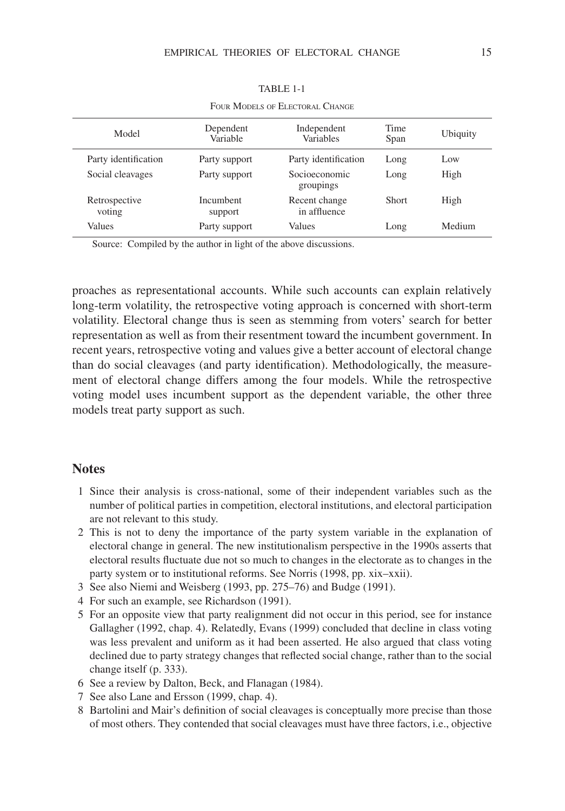| Model                   | Dependent<br>Variable | Independent<br>Variables      | Time<br>Span | Ubiquity |  |
|-------------------------|-----------------------|-------------------------------|--------------|----------|--|
| Party identification    | Party support         | Party identification          | Long         | Low      |  |
| Social cleavages        | Party support         | Socioeconomic<br>groupings    | Long         | High     |  |
| Retrospective<br>voting | Incumbent<br>support  | Recent change<br>in affluence | <b>Short</b> | High     |  |
| Values                  | Party support         | Values                        | Long         | Medium   |  |

TABLE 1-1

FOUR MODELS OF ELECTORAL CHANGE

Source: Compiled by the author in light of the above discussions.

proaches as representational accounts. While such accounts can explain relatively long-term volatility, the retrospective voting approach is concerned with short-term volatility. Electoral change thus is seen as stemming from voters' search for better representation as well as from their resentment toward the incumbent government. In recent years, retrospective voting and values give a better account of electoral change than do social cleavages (and party identification). Methodologically, the measurement of electoral change differs among the four models. While the retrospective voting model uses incumbent support as the dependent variable, the other three models treat party support as such.

#### **Notes**

- 1 Since their analysis is cross-national, some of their independent variables such as the number of political parties in competition, electoral institutions, and electoral participation are not relevant to this study.
- 2 This is not to deny the importance of the party system variable in the explanation of electoral change in general. The new institutionalism perspective in the 1990s asserts that electoral results fluctuate due not so much to changes in the electorate as to changes in the party system or to institutional reforms. See Norris (1998, pp. xix–xxii).
- 3 See also Niemi and Weisberg (1993, pp. 275–76) and Budge (1991).
- 4 For such an example, see Richardson (1991).
- 5 For an opposite view that party realignment did not occur in this period, see for instance Gallagher (1992, chap. 4). Relatedly, Evans (1999) concluded that decline in class voting was less prevalent and uniform as it had been asserted. He also argued that class voting declined due to party strategy changes that reflected social change, rather than to the social change itself (p. 333).
- 6 See a review by Dalton, Beck, and Flanagan (1984).
- 7 See also Lane and Ersson (1999, chap. 4).
- 8 Bartolini and Mair's definition of social cleavages is conceptually more precise than those of most others. They contended that social cleavages must have three factors, i.e., objective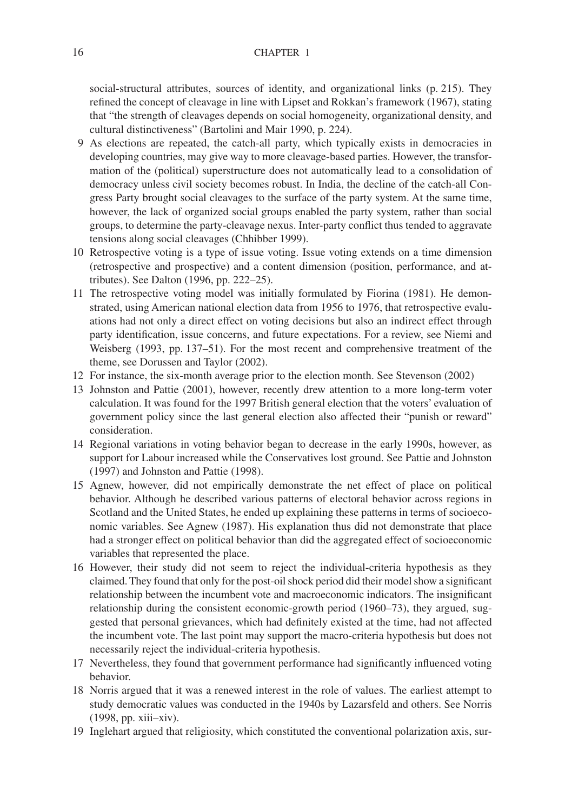social-structural attributes, sources of identity, and organizational links (p. 215). They refined the concept of cleavage in line with Lipset and Rokkan's framework (1967), stating that "the strength of cleavages depends on social homogeneity, organizational density, and cultural distinctiveness" (Bartolini and Mair 1990, p. 224).

- 9 As elections are repeated, the catch-all party, which typically exists in democracies in developing countries, may give way to more cleavage-based parties. However, the transformation of the (political) superstructure does not automatically lead to a consolidation of democracy unless civil society becomes robust. In India, the decline of the catch-all Congress Party brought social cleavages to the surface of the party system. At the same time, however, the lack of organized social groups enabled the party system, rather than social groups, to determine the party-cleavage nexus. Inter-party conflict thus tended to aggravate tensions along social cleavages (Chhibber 1999).
- 10 Retrospective voting is a type of issue voting. Issue voting extends on a time dimension (retrospective and prospective) and a content dimension (position, performance, and attributes). See Dalton (1996, pp. 222–25).
- 11 The retrospective voting model was initially formulated by Fiorina (1981). He demonstrated, using American national election data from 1956 to 1976, that retrospective evaluations had not only a direct effect on voting decisions but also an indirect effect through party identification, issue concerns, and future expectations. For a review, see Niemi and Weisberg (1993, pp. 137–51). For the most recent and comprehensive treatment of the theme, see Dorussen and Taylor (2002).
- 12 For instance, the six-month average prior to the election month. See Stevenson (2002)
- 13 Johnston and Pattie (2001), however, recently drew attention to a more long-term voter calculation. It was found for the 1997 British general election that the voters' evaluation of government policy since the last general election also affected their "punish or reward" consideration.
- 14 Regional variations in voting behavior began to decrease in the early 1990s, however, as support for Labour increased while the Conservatives lost ground. See Pattie and Johnston (1997) and Johnston and Pattie (1998).
- 15 Agnew, however, did not empirically demonstrate the net effect of place on political behavior. Although he described various patterns of electoral behavior across regions in Scotland and the United States, he ended up explaining these patterns in terms of socioeconomic variables. See Agnew (1987). His explanation thus did not demonstrate that place had a stronger effect on political behavior than did the aggregated effect of socioeconomic variables that represented the place.
- 16 However, their study did not seem to reject the individual-criteria hypothesis as they claimed. They found that only for the post-oil shock period did their model show a significant relationship between the incumbent vote and macroeconomic indicators. The insignificant relationship during the consistent economic-growth period (1960–73), they argued, suggested that personal grievances, which had definitely existed at the time, had not affected the incumbent vote. The last point may support the macro-criteria hypothesis but does not necessarily reject the individual-criteria hypothesis.
- 17 Nevertheless, they found that government performance had significantly influenced voting behavior.
- 18 Norris argued that it was a renewed interest in the role of values. The earliest attempt to study democratic values was conducted in the 1940s by Lazarsfeld and others. See Norris (1998, pp. xiii–xiv).
- 19 Inglehart argued that religiosity, which constituted the conventional polarization axis, sur-